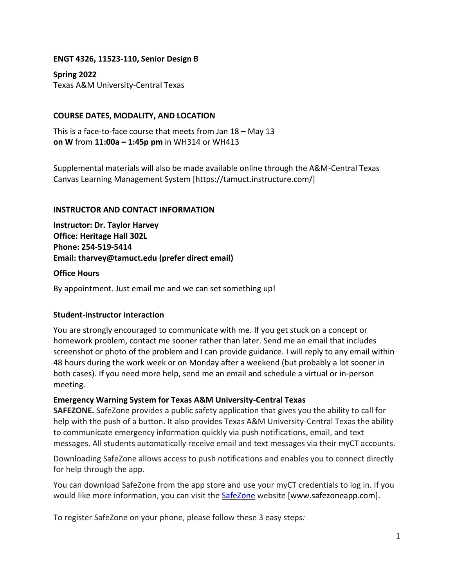## **ENGT 4326, 11523-110, Senior Design B**

**Spring 2022** Texas A&M University-Central Texas

## **COURSE DATES, MODALITY, AND LOCATION**

This is a face-to-face course that meets from Jan 18 – May 13 **on W** from **11:00a – 1:45p pm** in WH314 or WH413

Supplemental materials will also be made available online through the A&M-Central Texas Canvas Learning Management System [https://tamuct.instructure.com/]

## **INSTRUCTOR AND CONTACT INFORMATION**

**Instructor: Dr. Taylor Harvey Office: Heritage Hall 302L Phone: 254-519-5414 Email: tharvey@tamuct.edu (prefer direct email)**

## **Office Hours**

By appointment. Just email me and we can set something up!

## **Student-instructor interaction**

You are strongly encouraged to communicate with me. If you get stuck on a concept or homework problem, contact me sooner rather than later. Send me an email that includes screenshot or photo of the problem and I can provide guidance. I will reply to any email within 48 hours during the work week or on Monday after a weekend (but probably a lot sooner in both cases). If you need more help, send me an email and schedule a virtual or in-person meeting.

## **Emergency Warning System for Texas A&M University-Central Texas**

**SAFEZONE.** SafeZone provides a public safety application that gives you the ability to call for help with the push of a button. It also provides Texas A&M University-Central Texas the ability to communicate emergency information quickly via push notifications, email, and text messages. All students automatically receive email and text messages via their myCT accounts.

Downloading SafeZone allows access to push notifications and enables you to connect directly for help through the app.

You can download SafeZone from the app store and use your myCT credentials to log in. If you would like more information, you can visit the [SafeZone](http://www.safezoneapp.com/) website [www.safezoneapp.com].

To register SafeZone on your phone, please follow these 3 easy steps*:*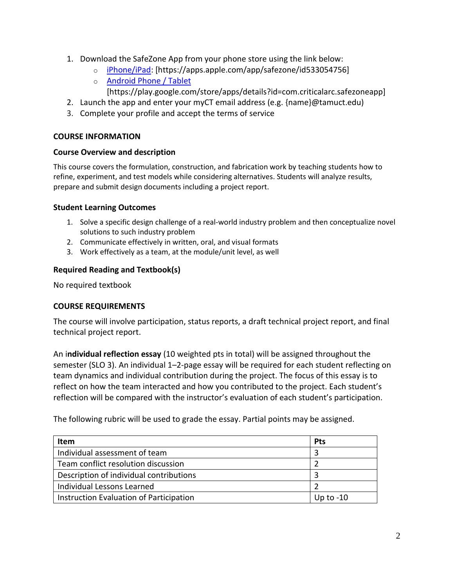- 1. Download the SafeZone App from your phone store using the link below:
	- o [iPhone/iPad:](https://apps.apple.com/app/safezone/id533054756) [https://apps.apple.com/app/safezone/id533054756]
	- o [Android Phone / Tablet](https://play.google.com/store/apps/details?id=com.criticalarc.safezoneapp) [https://play.google.com/store/apps/details?id=com.criticalarc.safezoneapp]
- 2. Launch the app and enter your myCT email address (e.g. {name}@tamuct.edu)
- 3. Complete your profile and accept the terms of service

## **COURSE INFORMATION**

## **Course Overview and description**

This course covers the formulation, construction, and fabrication work by teaching students how to refine, experiment, and test models while considering alternatives. Students will analyze results, prepare and submit design documents including a project report.

## **Student Learning Outcomes**

- 1. Solve a specific design challenge of a real-world industry problem and then conceptualize novel solutions to such industry problem
- 2. Communicate effectively in written, oral, and visual formats
- 3. Work effectively as a team, at the module/unit level, as well

# **Required Reading and Textbook(s)**

No required textbook

## **COURSE REQUIREMENTS**

The course will involve participation, status reports, a draft technical project report, and final technical project report.

An i**ndividual reflection essay** (10 weighted pts in total) will be assigned throughout the semester (SLO 3). An individual 1–2-page essay will be required for each student reflecting on team dynamics and individual contribution during the project. The focus of this essay is to reflect on how the team interacted and how you contributed to the project. Each student's reflection will be compared with the instructor's evaluation of each student's participation.

The following rubric will be used to grade the essay. Partial points may be assigned.

| <b>Item</b>                             | <b>Pts</b>  |
|-----------------------------------------|-------------|
| Individual assessment of team           |             |
| Team conflict resolution discussion     |             |
| Description of individual contributions |             |
| Individual Lessons Learned              |             |
| Instruction Evaluation of Participation | Up to $-10$ |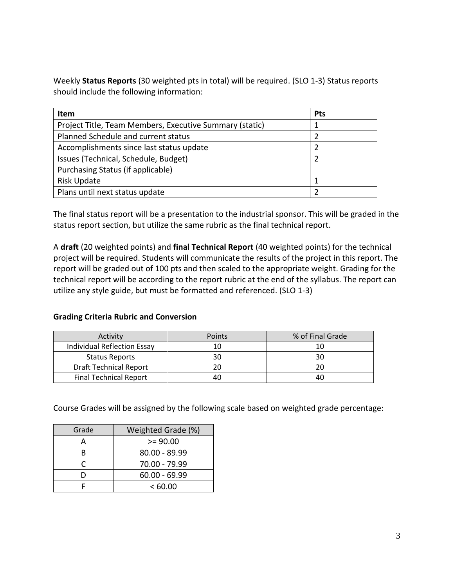Weekly **Status Reports** (30 weighted pts in total) will be required. (SLO 1-3) Status reports should include the following information:

| Item                                                    | <b>Pts</b> |
|---------------------------------------------------------|------------|
| Project Title, Team Members, Executive Summary (static) |            |
| Planned Schedule and current status                     |            |
| Accomplishments since last status update                |            |
| Issues (Technical, Schedule, Budget)                    |            |
| Purchasing Status (if applicable)                       |            |
| Risk Update                                             |            |
| Plans until next status update                          |            |

The final status report will be a presentation to the industrial sponsor. This will be graded in the status report section, but utilize the same rubric as the final technical report.

A **draft** (20 weighted points) and **final Technical Report** (40 weighted points) for the technical project will be required. Students will communicate the results of the project in this report. The report will be graded out of 100 pts and then scaled to the appropriate weight. Grading for the technical report will be according to the report rubric at the end of the syllabus. The report can utilize any style guide, but must be formatted and referenced. (SLO 1-3)

# **Grading Criteria Rubric and Conversion**

| Activity                           | Points | % of Final Grade |
|------------------------------------|--------|------------------|
| <b>Individual Reflection Essay</b> | 10     | 10               |
| <b>Status Reports</b>              | 30     | 3С               |
| <b>Draft Technical Report</b>      | 20     | 20               |
| <b>Final Technical Report</b>      | 40     | 40               |

Course Grades will be assigned by the following scale based on weighted grade percentage:

| Grade | Weighted Grade (%) |  |  |
|-------|--------------------|--|--|
|       | $>= 90.00$         |  |  |
| R     | 80.00 - 89.99      |  |  |
|       | 70.00 - 79.99      |  |  |
| n     | $60.00 - 69.99$    |  |  |
|       | <60.00             |  |  |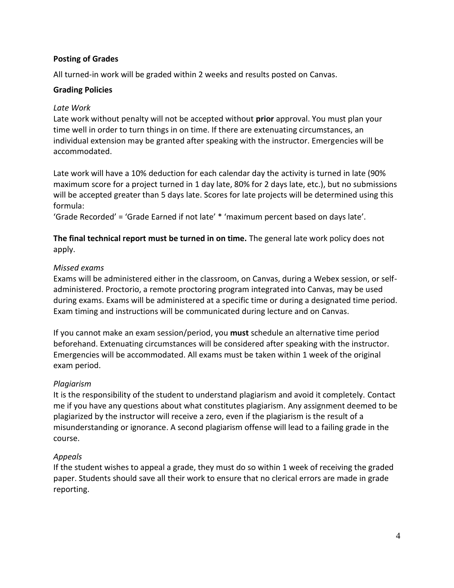## **Posting of Grades**

All turned-in work will be graded within 2 weeks and results posted on Canvas.

## **Grading Policies**

## *Late Work*

Late work without penalty will not be accepted without **prior** approval. You must plan your time well in order to turn things in on time. If there are extenuating circumstances, an individual extension may be granted after speaking with the instructor. Emergencies will be accommodated.

Late work will have a 10% deduction for each calendar day the activity is turned in late (90% maximum score for a project turned in 1 day late, 80% for 2 days late, etc.), but no submissions will be accepted greater than 5 days late. Scores for late projects will be determined using this formula:

'Grade Recorded' = 'Grade Earned if not late' \* 'maximum percent based on days late'.

**The final technical report must be turned in on time.** The general late work policy does not apply.

## *Missed exams*

Exams will be administered either in the classroom, on Canvas, during a Webex session, or selfadministered. Proctorio, a remote proctoring program integrated into Canvas, may be used during exams. Exams will be administered at a specific time or during a designated time period. Exam timing and instructions will be communicated during lecture and on Canvas.

If you cannot make an exam session/period, you **must** schedule an alternative time period beforehand. Extenuating circumstances will be considered after speaking with the instructor. Emergencies will be accommodated. All exams must be taken within 1 week of the original exam period.

# *Plagiarism*

It is the responsibility of the student to understand plagiarism and avoid it completely. Contact me if you have any questions about what constitutes plagiarism. Any assignment deemed to be plagiarized by the instructor will receive a zero, even if the plagiarism is the result of a misunderstanding or ignorance. A second plagiarism offense will lead to a failing grade in the course.

# *Appeals*

If the student wishes to appeal a grade, they must do so within 1 week of receiving the graded paper. Students should save all their work to ensure that no clerical errors are made in grade reporting.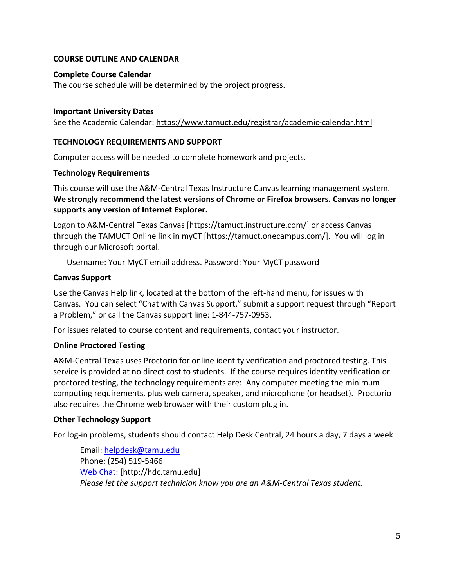## **COURSE OUTLINE AND CALENDAR**

### **Complete Course Calendar**

The course schedule will be determined by the project progress.

#### **Important University Dates**

See the Academic Calendar:<https://www.tamuct.edu/registrar/academic-calendar.html>

### **TECHNOLOGY REQUIREMENTS AND SUPPORT**

Computer access will be needed to complete homework and projects.

#### **Technology Requirements**

This course will use the A&M-Central Texas Instructure Canvas learning management system. **We strongly recommend the latest versions of Chrome or Firefox browsers. Canvas no longer supports any version of Internet Explorer.**

Logon to A&M-Central Texas Canvas [https://tamuct.instructure.com/] or access Canvas through the TAMUCT Online link in myCT [https://tamuct.onecampus.com/]. You will log in through our Microsoft portal.

Username: Your MyCT email address. Password: Your MyCT password

## **Canvas Support**

Use the Canvas Help link, located at the bottom of the left-hand menu, for issues with Canvas. You can select "Chat with Canvas Support," submit a support request through "Report a Problem," or call the Canvas support line: 1-844-757-0953.

For issues related to course content and requirements, contact your instructor.

## **Online Proctored Testing**

A&M-Central Texas uses Proctorio for online identity verification and proctored testing. This service is provided at no direct cost to students. If the course requires identity verification or proctored testing, the technology requirements are: Any computer meeting the minimum computing requirements, plus web camera, speaker, and microphone (or headset). Proctorio also requires the Chrome web browser with their custom plug in.

#### **Other Technology Support**

For log-in problems, students should contact Help Desk Central, 24 hours a day, 7 days a week

Email: [helpdesk@tamu.edu](mailto:helpdesk@tamu.edu) Phone: (254) 519-5466 [Web Chat:](http://hdc.tamu.edu/) [http://hdc.tamu.edu] *Please let the support technician know you are an A&M-Central Texas student.*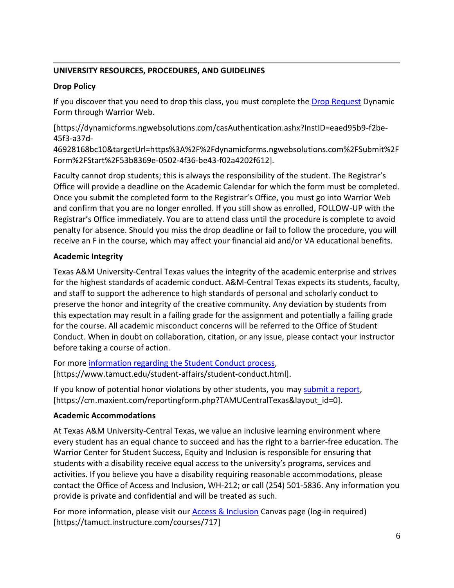# **UNIVERSITY RESOURCES, PROCEDURES, AND GUIDELINES**

# **Drop Policy**

If you discover that you need to drop this class, you must complete the [Drop Request](https://dynamicforms.ngwebsolutions.com/casAuthentication.ashx?InstID=eaed95b9-f2be-45f3-a37d-46928168bc10&targetUrl=https%3A%2F%2Fdynamicforms.ngwebsolutions.com%2FSubmit%2FForm%2FStart%2F53b8369e-0502-4f36-be43-f02a4202f612) Dynamic Form through Warrior Web.

[https://dynamicforms.ngwebsolutions.com/casAuthentication.ashx?InstID=eaed95b9-f2be-45f3-a37d-

46928168bc10&targetUrl=https%3A%2F%2Fdynamicforms.ngwebsolutions.com%2FSubmit%2F Form%2FStart%2F53b8369e-0502-4f36-be43-f02a4202f612].

Faculty cannot drop students; this is always the responsibility of the student. The Registrar's Office will provide a deadline on the Academic Calendar for which the form must be completed. Once you submit the completed form to the Registrar's Office, you must go into Warrior Web and confirm that you are no longer enrolled. If you still show as enrolled, FOLLOW-UP with the Registrar's Office immediately. You are to attend class until the procedure is complete to avoid penalty for absence. Should you miss the drop deadline or fail to follow the procedure, you will receive an F in the course, which may affect your financial aid and/or VA educational benefits.

# **Academic Integrity**

Texas A&M University-Central Texas values the integrity of the academic enterprise and strives for the highest standards of academic conduct. A&M-Central Texas expects its students, faculty, and staff to support the adherence to high standards of personal and scholarly conduct to preserve the honor and integrity of the creative community. Any deviation by students from this expectation may result in a failing grade for the assignment and potentially a failing grade for the course. All academic misconduct concerns will be referred to the Office of Student Conduct. When in doubt on collaboration, citation, or any issue, please contact your instructor before taking a course of action.

For more [information](https://nam04.safelinks.protection.outlook.com/?url=https%3A%2F%2Fwww.tamuct.edu%2Fstudent-affairs%2Fstudent-conduct.html&data=04%7C01%7Clisa.bunkowski%40tamuct.edu%7Ccfb6e486f24745f53e1a08d910055cb2%7C9eed4e3000f744849ff193ad8005acec%7C0%7C0%7C637558437485252160%7CUnknown%7CTWFpbGZsb3d8eyJWIjoiMC4wLjAwMDAiLCJQIjoiV2luMzIiLCJBTiI6Ik1haWwiLCJXVCI6Mn0%3D%7C1000&sdata=yjftDEVHvLX%2FhM%2FcFU0B99krV1RgEWR%2BJ%2BhvtoR6TYk%3D&reserved=0) regarding the Student Conduct process, [https://www.tamuct.edu/student-affairs/student-conduct.html].

If you know of potential honor violations by other students, you may [submit](https://nam04.safelinks.protection.outlook.com/?url=https%3A%2F%2Fcm.maxient.com%2Freportingform.php%3FTAMUCentralTexas%26layout_id%3D0&data=04%7C01%7Clisa.bunkowski%40tamuct.edu%7Ccfb6e486f24745f53e1a08d910055cb2%7C9eed4e3000f744849ff193ad8005acec%7C0%7C0%7C637558437485262157%7CUnknown%7CTWFpbGZsb3d8eyJWIjoiMC4wLjAwMDAiLCJQIjoiV2luMzIiLCJBTiI6Ik1haWwiLCJXVCI6Mn0%3D%7C1000&sdata=CXGkOa6uPDPX1IMZ87z3aZDq2n91xfHKu4MMS43Ejjk%3D&reserved=0) a report, [https://cm.maxient.com/reportingform.php?TAMUCentralTexas&layout\_id=0].

# **Academic Accommodations**

At Texas A&M University-Central Texas, we value an inclusive learning environment where every student has an equal chance to succeed and has the right to a barrier-free education. The Warrior Center for Student Success, Equity and Inclusion is responsible for ensuring that students with a disability receive equal access to the university's programs, services and activities. If you believe you have a disability requiring reasonable accommodations, please contact the Office of Access and Inclusion, WH-212; or call (254) 501-5836. Any information you provide is private and confidential and will be treated as such.

For more information, please visit our [Access & Inclusion](https://tamuct.instructure.com/courses/717) Canvas page (log-in required) [https://tamuct.instructure.com/courses/717]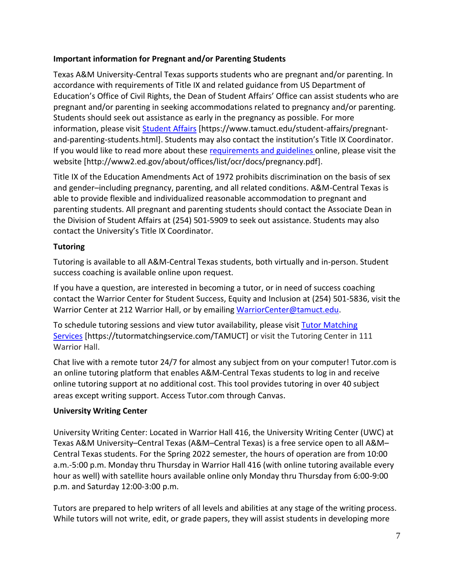# **Important information for Pregnant and/or Parenting Students**

Texas A&M University-Central Texas supports students who are pregnant and/or parenting. In accordance with requirements of Title IX and related guidance from US Department of Education's Office of Civil Rights, the Dean of Student Affairs' Office can assist students who are pregnant and/or parenting in seeking accommodations related to pregnancy and/or parenting. Students should seek out assistance as early in the pregnancy as possible. For more information, please visit [Student Affairs](https://www.tamuct.edu/student-affairs/pregnant-and-parenting-students.html) [https://www.tamuct.edu/student-affairs/pregnantand-parenting-students.html]. Students may also contact the institution's Title IX Coordinator. If you would like to read more about these [requirements and guidelines](http://www2.ed.gov/about/offices/list/ocr/docs/pregnancy.pdf) online, please visit the website [http://www2.ed.gov/about/offices/list/ocr/docs/pregnancy.pdf].

Title IX of the Education Amendments Act of 1972 prohibits discrimination on the basis of sex and gender–including pregnancy, parenting, and all related conditions. A&M-Central Texas is able to provide flexible and individualized reasonable accommodation to pregnant and parenting students. All pregnant and parenting students should contact the Associate Dean in the Division of Student Affairs at (254) 501-5909 to seek out assistance. Students may also contact the University's Title IX Coordinator.

# **Tutoring**

Tutoring is available to all A&M-Central Texas students, both virtually and in-person. Student success coaching is available online upon request.

If you have a question, are interested in becoming a tutor, or in need of success coaching contact the Warrior Center for Student Success, Equity and Inclusion at (254) 501-5836, visit the Warrior Center at 212 Warrior Hall, or by emailing [WarriorCenter@tamuct.edu.](mailto:WarriorCenter@tamuct.edu)

To schedule tutoring sessions and view tutor availability, please visit Tutor [Matching](https://tutormatchingservice.com/TAMUCT) [Services](https://tutormatchingservice.com/TAMUCT) [https://tutormatchingservice.com/TAMUCT] or visit the Tutoring Center in 111 Warrior Hall.

Chat live with a remote tutor 24/7 for almost any subject from on your computer! Tutor.com is an online tutoring platform that enables A&M-Central Texas students to log in and receive online tutoring support at no additional cost. This tool provides tutoring in over 40 subject areas except writing support. Access Tutor.com through Canvas.

# **University Writing Center**

University Writing Center: Located in Warrior Hall 416, the University Writing Center (UWC) at Texas A&M University–Central Texas (A&M–Central Texas) is a free service open to all A&M– Central Texas students. For the Spring 2022 semester, the hours of operation are from 10:00 a.m.-5:00 p.m. Monday thru Thursday in Warrior Hall 416 (with online tutoring available every hour as well) with satellite hours available online only Monday thru Thursday from 6:00-9:00 p.m. and Saturday 12:00-3:00 p.m.

Tutors are prepared to help writers of all levels and abilities at any stage of the writing process. While tutors will not write, edit, or grade papers, they will assist students in developing more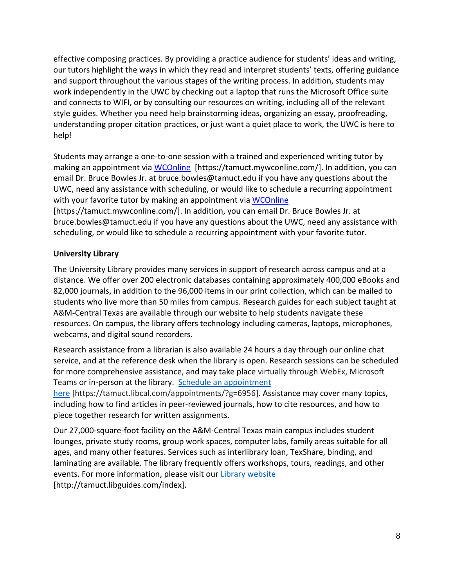effective composing practices. By providing a practice audience for students' ideas and writing, our tutors highlight the ways in which they read and interpret students' texts, offering guidance and support throughout the various stages of the writing process. In addition, students may work independently in the UWC by checking out a laptop that runs the Microsoft Office suite and connects to WIFI, or by consulting our resources on writing, including all of the relevant style guides. Whether you need help brainstorming ideas, organizing an essay, proofreading, understanding proper citation practices, or just want a quiet place to work, the UWC is here to help!

Students may arrange a one-to-one session with a trained and experienced writing tutor by making an appointment via [WCOnline](https://tamuct.mywconline.com/) [https://tamuct.mywconline.com/]. In addition, you can email Dr. Bruce Bowles Jr. at bruce.bowles@tamuct.edu if you have any questions about the UWC, need any assistance with scheduling, or would like to schedule a recurring appointment with your favorite tutor by making an appointment via [WCOnline](https://tamuct.mywconline.com/)

[https://tamuct.mywconline.com/]. In addition, you can email Dr. Bruce Bowles Jr. at bruce.bowles@tamuct.edu if you have any questions about the UWC, need any assistance with scheduling, or would like to schedule a recurring appointment with your favorite tutor.

# **University Library**

The University Library provides many services in support of research across campus and at a distance. We offer over 200 electronic databases containing approximately 400,000 eBooks and 82,000 journals, in addition to the 96,000 items in our print collection, which can be mailed to students who live more than 50 miles from campus. Research guides for each subject taught at A&M-Central Texas are available through our website to help students navigate these resources. On campus, the library offers technology including cameras, laptops, microphones, webcams, and digital sound recorders.

Research assistance from a librarian is also available 24 hours a day through our online chat service, and at the reference desk when the library is open. Research sessions can be scheduled for more comprehensive assistance, and may take place virtually through WebEx, Microsoft Teams or in-person at the library. Schedule an [appointment](https://nam04.safelinks.protection.outlook.com/?url=https%3A%2F%2Ftamuct.libcal.com%2Fappointments%2F%3Fg%3D6956&data=04%7C01%7Clisa.bunkowski%40tamuct.edu%7Cde2c07d9f5804f09518008d9ab7ba6ff%7C9eed4e3000f744849ff193ad8005acec%7C0%7C0%7C637729369835011558%7CUnknown%7CTWFpbGZsb3d8eyJWIjoiMC4wLjAwMDAiLCJQIjoiV2luMzIiLCJBTiI6Ik1haWwiLCJXVCI6Mn0%3D%7C3000&sdata=KhtjgRSAw9aq%2FoBsB6wyu8b7PSuGN5EGPypzr3Ty2No%3D&reserved=0)

[here](https://nam04.safelinks.protection.outlook.com/?url=https%3A%2F%2Ftamuct.libcal.com%2Fappointments%2F%3Fg%3D6956&data=04%7C01%7Clisa.bunkowski%40tamuct.edu%7Cde2c07d9f5804f09518008d9ab7ba6ff%7C9eed4e3000f744849ff193ad8005acec%7C0%7C0%7C637729369835011558%7CUnknown%7CTWFpbGZsb3d8eyJWIjoiMC4wLjAwMDAiLCJQIjoiV2luMzIiLCJBTiI6Ik1haWwiLCJXVCI6Mn0%3D%7C3000&sdata=KhtjgRSAw9aq%2FoBsB6wyu8b7PSuGN5EGPypzr3Ty2No%3D&reserved=0) [https://tamuct.libcal.com/appointments/?g=6956]. Assistance may cover many topics, including how to find articles in peer-reviewed journals, how to cite resources, and how to piece together research for written assignments.

Our 27,000-square-foot facility on the A&M-Central Texas main campus includes student lounges, private study rooms, group work spaces, computer labs, family areas suitable for all ages, and many other features. Services such as interlibrary loan, TexShare, binding, and laminating are available. The library frequently offers workshops, tours, readings, and other events. For more information, please visit our Library [website](https://nam04.safelinks.protection.outlook.com/?url=https%3A%2F%2Ftamuct.libguides.com%2Findex&data=04%7C01%7Clisa.bunkowski%40tamuct.edu%7C7d8489e8839a4915335f08d916f067f2%7C9eed4e3000f744849ff193ad8005acec%7C0%7C0%7C637566044056484222%7CUnknown%7CTWFpbGZsb3d8eyJWIjoiMC4wLjAwMDAiLCJQIjoiV2luMzIiLCJBTiI6Ik1haWwiLCJXVCI6Mn0%3D%7C1000&sdata=2R755V6rcIyedGrd4Os5rkgn1PvhHKU3kUV1vBKiHFo%3D&reserved=0) [http://tamuct.libguides.com/index].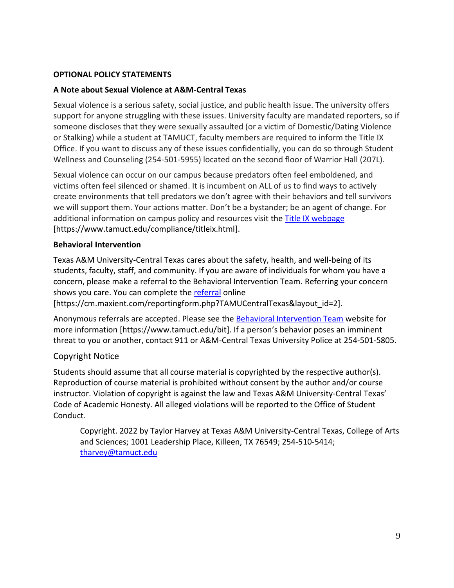## **OPTIONAL POLICY STATEMENTS**

## **A Note about Sexual Violence at A&M-Central Texas**

Sexual violence is a serious safety, social justice, and public health issue. The university offers support for anyone struggling with these issues. University faculty are mandated reporters, so if someone discloses that they were sexually assaulted (or a victim of Domestic/Dating Violence or Stalking) while a student at TAMUCT, faculty members are required to inform the Title IX Office. If you want to discuss any of these issues confidentially, you can do so through Student Wellness and Counseling (254-501-5955) located on the second floor of Warrior Hall (207L).

Sexual violence can occur on our campus because predators often feel emboldened, and victims often feel silenced or shamed. It is incumbent on ALL of us to find ways to actively create environments that tell predators we don't agree with their behaviors and tell survivors we will support them. Your actions matter. Don't be a bystander; be an agent of change. For additional information on campus policy and resources visit the [Title IX webpage](https://www.tamuct.edu/compliance/titleix.html) [\[https://www.tamuct.edu/compliance/titleix.html\]](https://www.tamuct.edu/compliance/titleix.html).

## **Behavioral Intervention**

Texas A&M University-Central Texas cares about the safety, health, and well-being of its students, faculty, staff, and community. If you are aware of individuals for whom you have a concern, please make a referral to the Behavioral Intervention Team. Referring your concern shows you care. You can complete the [referral](https://cm.maxient.com/reportingform.php?TAMUCentralTexas&layout_id=2) online

[https://cm.maxient.com/reportingform.php?TAMUCentralTexas&layout\_id=2].

Anonymous referrals are accepted. Please see the [Behavioral Intervention Team](https://www.tamuct.edu/bit) website for more information [https://www.tamuct.edu/bit]. If a person's behavior poses an imminent threat to you or another, contact 911 or A&M-Central Texas University Police at 254-501-5805.

# Copyright Notice

Students should assume that all course material is copyrighted by the respective author(s). Reproduction of course material is prohibited without consent by the author and/or course instructor. Violation of copyright is against the law and Texas A&M University-Central Texas' Code of Academic Honesty. All alleged violations will be reported to the Office of Student Conduct.

Copyright. 2022 by Taylor Harvey at Texas A&M University-Central Texas, College of Arts and Sciences; 1001 Leadership Place, Killeen, TX 76549; 254-510-5414; [tharvey@tamuct.edu](mailto:tharvey@tamuct.edu)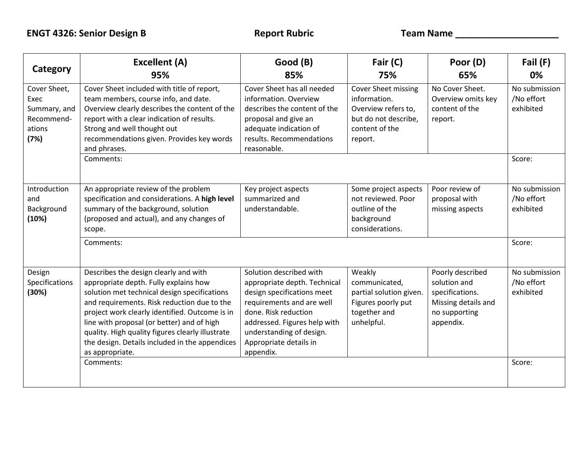| Category                                                             | <b>Excellent (A)</b><br>95%                                                                                                                                                                                                                                                                                                                                                                            | Good (B)<br>85%                                                                                                                                                                                                                               | Fair (C)<br>75%                                                                                                 | Poor (D)<br>65%                                                                                          | Fail (F)<br>0%                           |
|----------------------------------------------------------------------|--------------------------------------------------------------------------------------------------------------------------------------------------------------------------------------------------------------------------------------------------------------------------------------------------------------------------------------------------------------------------------------------------------|-----------------------------------------------------------------------------------------------------------------------------------------------------------------------------------------------------------------------------------------------|-----------------------------------------------------------------------------------------------------------------|----------------------------------------------------------------------------------------------------------|------------------------------------------|
| Cover Sheet,<br>Exec<br>Summary, and<br>Recommend-<br>ations<br>(7%) | Cover Sheet included with title of report,<br>team members, course info, and date.<br>Overview clearly describes the content of the<br>report with a clear indication of results.<br>Strong and well thought out<br>recommendations given. Provides key words<br>and phrases.                                                                                                                          | Cover Sheet has all needed<br>information. Overview<br>describes the content of the<br>proposal and give an<br>adequate indication of<br>results. Recommendations<br>reasonable.                                                              | Cover Sheet missing<br>information.<br>Overview refers to,<br>but do not describe,<br>content of the<br>report. | No Cover Sheet.<br>Overview omits key<br>content of the<br>report.                                       | No submission<br>/No effort<br>exhibited |
|                                                                      | Comments:                                                                                                                                                                                                                                                                                                                                                                                              |                                                                                                                                                                                                                                               |                                                                                                                 |                                                                                                          | Score:                                   |
| Introduction<br>and<br>Background<br>(10%)                           | An appropriate review of the problem<br>specification and considerations. A high level<br>summary of the background, solution<br>(proposed and actual), and any changes of<br>scope.                                                                                                                                                                                                                   | Key project aspects<br>summarized and<br>understandable.                                                                                                                                                                                      | Some project aspects<br>not reviewed. Poor<br>outline of the<br>background<br>considerations.                   | Poor review of<br>proposal with<br>missing aspects                                                       | No submission<br>/No effort<br>exhibited |
|                                                                      | Comments:                                                                                                                                                                                                                                                                                                                                                                                              |                                                                                                                                                                                                                                               |                                                                                                                 |                                                                                                          | Score:                                   |
| Design<br>Specifications<br>(30%)                                    | Describes the design clearly and with<br>appropriate depth. Fully explains how<br>solution met technical design specifications<br>and requirements. Risk reduction due to the<br>project work clearly identified. Outcome is in<br>line with proposal (or better) and of high<br>quality. High quality figures clearly illustrate<br>the design. Details included in the appendices<br>as appropriate. | Solution described with<br>appropriate depth. Technical<br>design specifications meet<br>requirements and are well<br>done. Risk reduction<br>addressed. Figures help with<br>understanding of design.<br>Appropriate details in<br>appendix. | Weakly<br>communicated,<br>partial solution given.<br>Figures poorly put<br>together and<br>unhelpful.          | Poorly described<br>solution and<br>specifications.<br>Missing details and<br>no supporting<br>appendix. | No submission<br>/No effort<br>exhibited |
|                                                                      | Comments:                                                                                                                                                                                                                                                                                                                                                                                              |                                                                                                                                                                                                                                               |                                                                                                                 |                                                                                                          | Score:                                   |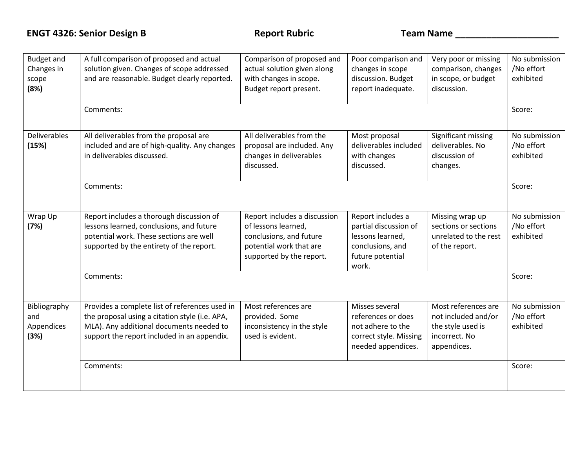| <b>Budget and</b><br>Changes in<br>scope<br>(8%) | A full comparison of proposed and actual<br>solution given. Changes of scope addressed<br>and are reasonable. Budget clearly reported.                                                      | Comparison of proposed and<br>actual solution given along<br>with changes in scope.<br>Budget report present.                         | Poor comparison and<br>changes in scope<br>discussion. Budget<br>report inadequate.                             | Very poor or missing<br>comparison, changes<br>in scope, or budget<br>discussion.               | No submission<br>/No effort<br>exhibited |
|--------------------------------------------------|---------------------------------------------------------------------------------------------------------------------------------------------------------------------------------------------|---------------------------------------------------------------------------------------------------------------------------------------|-----------------------------------------------------------------------------------------------------------------|-------------------------------------------------------------------------------------------------|------------------------------------------|
|                                                  | Comments:                                                                                                                                                                                   |                                                                                                                                       |                                                                                                                 |                                                                                                 | Score:                                   |
| <b>Deliverables</b><br>(15%)                     | All deliverables from the proposal are<br>included and are of high-quality. Any changes<br>in deliverables discussed.                                                                       | All deliverables from the<br>proposal are included. Any<br>changes in deliverables<br>discussed.                                      | Most proposal<br>deliverables included<br>with changes<br>discussed.                                            | Significant missing<br>deliverables. No<br>discussion of<br>changes.                            | No submission<br>/No effort<br>exhibited |
|                                                  | Comments:                                                                                                                                                                                   |                                                                                                                                       |                                                                                                                 |                                                                                                 | Score:                                   |
| Wrap Up<br>(7%)                                  | Report includes a thorough discussion of<br>lessons learned, conclusions, and future<br>potential work. These sections are well<br>supported by the entirety of the report.                 | Report includes a discussion<br>of lessons learned,<br>conclusions, and future<br>potential work that are<br>supported by the report. | Report includes a<br>partial discussion of<br>lessons learned,<br>conclusions, and<br>future potential<br>work. | Missing wrap up<br>sections or sections<br>unrelated to the rest<br>of the report.              | No submission<br>/No effort<br>exhibited |
|                                                  | Comments:                                                                                                                                                                                   |                                                                                                                                       |                                                                                                                 |                                                                                                 | Score:                                   |
| Bibliography<br>and<br>Appendices<br>(3%)        | Provides a complete list of references used in<br>the proposal using a citation style (i.e. APA,<br>MLA). Any additional documents needed to<br>support the report included in an appendix. | Most references are<br>provided. Some<br>inconsistency in the style<br>used is evident.                                               | Misses several<br>references or does<br>not adhere to the<br>correct style. Missing<br>needed appendices.       | Most references are<br>not included and/or<br>the style used is<br>incorrect. No<br>appendices. | No submission<br>/No effort<br>exhibited |
|                                                  | Comments:                                                                                                                                                                                   |                                                                                                                                       |                                                                                                                 |                                                                                                 | Score:                                   |